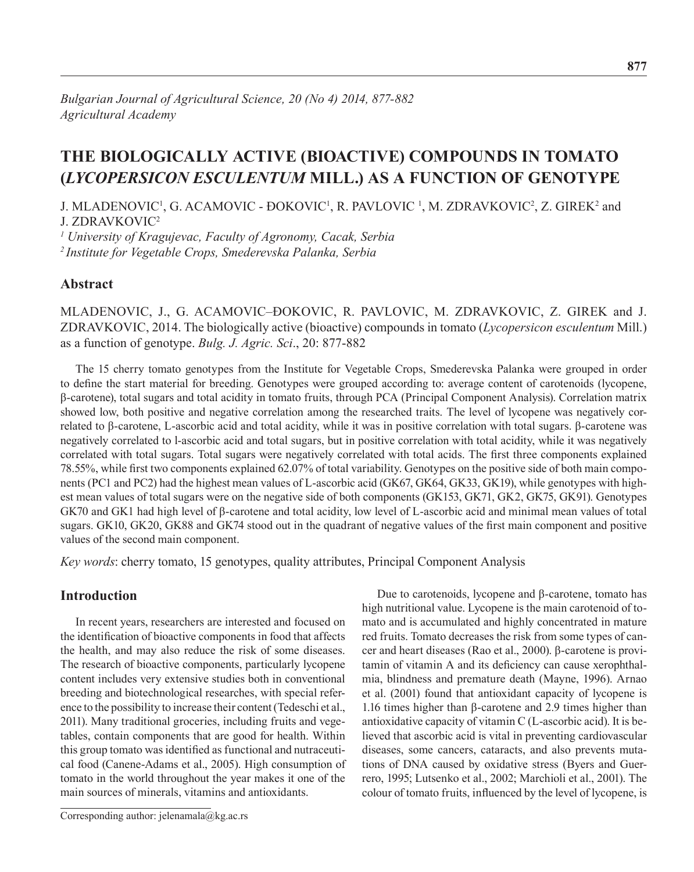# **THE BIOLOGICALLY ACTIVE (BIOACTIVE) COMPOUNDS IN TOMATO (***Lycopersicon esculentum* **Mill.) AS A FUNCTION OF GENOTYPE**

J. MLADENOVIC<sup>1</sup>, G. ACAMOVIC - ĐOKOVIC<sup>1</sup>, R. PAVLOVIC<sup>1</sup>, M. ZDRAVKOVIC<sup>2</sup>, Z. GIREK<sup>2</sup> and J. ZDRAVKOVIC<sup>2</sup>

*<sup>1</sup> University of Kragujevac, Faculty of Agronomy, Cacak, Serbia 2 Institute for Vegetable Crops, Smederevska Palanka, Serbia*

## **Abstract**

Mladenovic, J., G. Acamovic–Đokovic, R. Pavlovic, M. Zdravkovic, Z. Girek and J. Zdravkovic, 2014. The biologically active (bioactive) compounds in tomato (*Lycopersicon esculentum* Mill.) as a function of genotype. *Bulg. J. Agric. Sci*., 20: 877-882

The 15 cherry tomato genotypes from the Institute for Vegetable Crops, Smederevska Palanka were grouped in order to define the start material for breeding. Genotypes were grouped according to: average content of carotenoids (lycopene, β-carotene), total sugars and total acidity in tomato fruits, through PCA (Principal Component Analysis). Correlation matrix showed low, both positive and negative correlation among the researched traits. The level of lycopene was negatively correlated to β-carotene, L-ascorbic acid and total acidity, while it was in positive correlation with total sugars. β-carotene was negatively correlated to l-ascorbic acid and total sugars, but in positive correlation with total acidity, while it was negatively correlated with total sugars. Total sugars were negatively correlated with total acids. The first three components explained 78.55%, while first two components explained 62.07% of total variability. Genotypes on the positive side of both main components (PC1 and PC2) had the highest mean values of L-ascorbic acid (GK67, GK64, GK33, GK19), while genotypes with highest mean values of total sugars were on the negative side of both components (GK153, GK71, GK2, GK75, GK91). Genotypes GK70 and GK1 had high level of β-carotene and total acidity, low level of L-ascorbic acid and minimal mean values of total sugars. GK10, GK20, GK88 and GK74 stood out in the quadrant of negative values of the first main component and positive values of the second main component.

*Key words*: cherry tomato, 15 genotypes, quality attributes, Principal Component Analysis

# **Introduction**

In recent years, researchers are interested and focused on the identification of bioactive components in food that affects the health, and may also reduce the risk of some diseases. The research of bioactive components, particularly lycopene content includes very extensive studies both in conventional breeding and biotechnological researches, with special reference to the possibility to increase their content (Tedeschi et al., 2011). Many traditional groceries, including fruits and vegetables, contain components that are good for health. Within this group tomato was identified as functional and nutraceutical food (Canene-Adams et al., 2005). High consumption of tomato in the world throughout the year makes it one of the main sources of minerals, vitamins and antioxidants.

Corresponding author: jelenamala@kg.ac.rs

Due to carotenoids, lycopene and β-carotene, tomato has high nutritional value. Lycopene is the main carotenoid of tomato and is accumulated and highly concentrated in mature red fruits. Tomato decreases the risk from some types of cancer and heart diseases (Rao et al., 2000). β-carotene is provitamin of vitamin A and its deficiency can cause xerophthalmia, blindness and premature death (Mayne, 1996). Arnao et al. (2001) found that antioxidant capacity of lycopene is 1.16 times higher than β-carotene and 2.9 times higher than antioxidative capacity of vitamin C (L-ascorbic acid). It is believed that ascorbic acid is vital in preventing cardiovascular diseases, some cancers, cataracts, and also prevents mutations of DNA caused by oxidative stress (Byers and Guerrero, 1995; Lutsenko et al., 2002; Marchioli et al., 2001). The colour of tomato fruits, influenced by the level of lycopene, is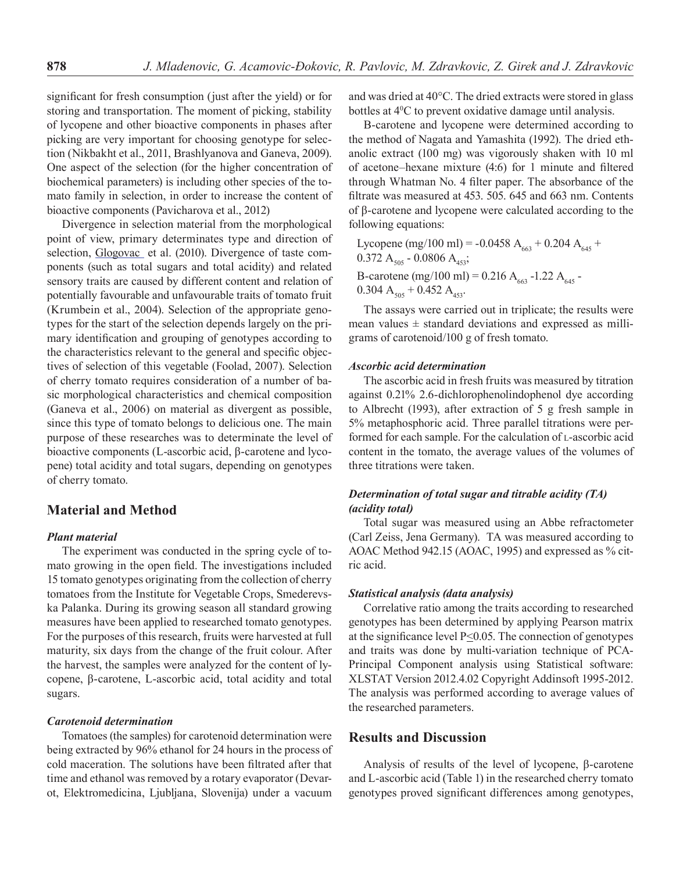significant for fresh consumption (just after the yield) or for storing and transportation. The moment of picking, stability of lycopene and other bioactive components in phases after picking are very important for choosing genotype for selection (Nikbakht et al., 2011, Brashlyanova and Ganeva, 2009). One aspect of the selection (for the higher concentration of biochemical parameters) is including other species of the tomato family in selection, in order to increase the content of bioactive components (Pavicharova et al., 2012)

Divergence in selection material from the morphological point of view, primary determinates type and direction of selection, Glogovac et al. (2010). Divergence of taste components (such as total sugars and total acidity) and related sensory traits are caused by different content and relation of potentially favourable and unfavourable traits of tomato fruit (Krumbein et al., 2004). Selection of the appropriate genotypes for the start of the selection depends largely on the primary identification and grouping of genotypes according to the characteristics relevant to the general and specific objectives of selection of this vegetable (Foolad, 2007). Selection of cherry tomato requires consideration of a number of basic morphological characteristics and chemical composition (Ganeva et al., 2006) on material as divergent as possible, since this type of tomato belongs to delicious one. The main purpose of these researches was to determinate the level of bioactive components (L-ascorbic acid, β-carotene and lycopene) total acidity and total sugars, depending on genotypes of cherry tomato.

# **Material and Method**

#### *Plant material*

The experiment was conducted in the spring cycle of tomato growing in the open field. The investigations included 15 tomato genotypes originating from the collection of cherry tomatoes from the Institute for Vegetable Crops, Smederevska Palanka. During its growing season all standard growing measures have been applied to researched tomato genotypes. For the purposes of this research, fruits were harvested at full maturity, six days from the change of the fruit colour. After the harvest, the samples were analyzed for the content of lycopene, β-carotene, L-ascorbic acid, total acidity and total sugars.

#### *Carotenoid determination*

Tomatoes (the samples) for carotenoid determination were being extracted by 96% ethanol for 24 hours in the process of cold maceration. The solutions have been filtrated after that time and ethanol was removed by a rotary evaporator (Devarot, Elektromedicina, Ljubljana, Slovenija) under a vacuum and was dried at 40°C. The dried extracts were stored in glass bottles at 40 C to prevent oxidative damage until analysis.

Β-carotene and lycopene were determined according to the method of Nagata and Yamashita (1992). The dried ethanolic extract (100 mg) was vigorously shaken with 10 ml of acetone–hexane mixture (4:6) for 1 minute and filtered through Whatman No. 4 filter paper. The absorbance of the filtrate was measured at 453. 505. 645 and 663 nm. Contents of β-carotene and lycopene were calculated according to the following equations:

Lycopene (mg/100 ml) = -0.0458 A<sub>663</sub> + 0.204 A<sub>645</sub> +  $0.372$  A<sub>505</sub> - 0.0806 A<sub>453</sub>; B-carotene (mg/100 ml) = 0.216 A<sub>663</sub> -1.22 A<sub>645</sub> - $0.304$  A<sub>505</sub> + 0.452 A<sub>453</sub>.

The assays were carried out in triplicate; the results were mean values  $\pm$  standard deviations and expressed as milligrams of carotenoid/100 g of fresh tomato.

#### *Ascorbic acid determination*

The ascorbic acid in fresh fruits was measured by titration against 0.21% 2.6-dichlorophenolindophenol dye according to Albrecht (1993), after extraction of 5 g fresh sample in 5% metaphosphoric acid. Three parallel titrations were performed for each sample. For the calculation of L-ascorbic acid content in the tomato, the average values of the volumes of three titrations were taken.

### *Determination of total sugar and titrable acidity (TA) (acidity total)*

Total sugar was measured using an Abbe refractometer (Carl Zeiss, Jena Germany). TA was measured according to AOAC Method 942.15 (AOAC, 1995) and expressed as % citric acid.

#### *Statistical analysis (data analysis)*

Correlative ratio among the traits according to researched genotypes has been determined by applying Pearson matrix at the significance level  $P \leq 0.05$ . The connection of genotypes and traits was done by multi-variation technique of PCA-Principal Component analysis using Statistical software: XLSTAT Version 2012.4.02 Copyright Addinsoft 1995-2012. The analysis was performed according to average values of the researched parameters.

## **Results and Discussion**

Analysis of results of the level of lycopene, β-carotene and L-ascorbic acid (Table 1) in the researched cherry tomato genotypes proved significant differences among genotypes,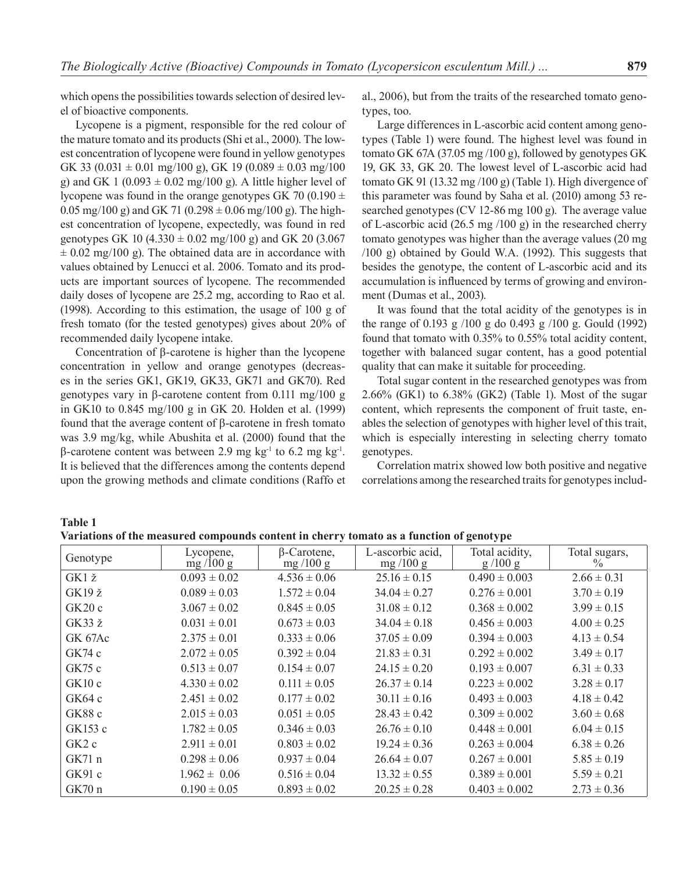which opens the possibilities towards selection of desired level of bioactive components.

Lycopene is a pigment, responsible for the red colour of the mature tomato and its products (Shi et al., 2000). The lowest concentration of lycopene were found in yellow genotypes GK 33 (0.031  $\pm$  0.01 mg/100 g), GK 19 (0.089  $\pm$  0.03 mg/100 g) and GK 1 (0.093  $\pm$  0.02 mg/100 g). A little higher level of lycopene was found in the orange genotypes GK 70 (0.190  $\pm$ 0.05 mg/100 g) and GK 71 (0.298  $\pm$  0.06 mg/100 g). The highest concentration of lycopene, expectedly, was found in red genotypes GK 10 (4.330  $\pm$  0.02 mg/100 g) and GK 20 (3.067  $\pm$  0.02 mg/100 g). The obtained data are in accordance with values obtained by Lenucci et al. 2006. Tomato and its products are important sources of lycopene. The recommended daily doses of lycopene are 25.2 mg, according to Rao et al. (1998). According to this estimation, the usage of 100 g of fresh tomato (for the tested genotypes) gives about 20% of recommended daily lycopene intake.

Concentration of β-carotene is higher than the lycopene concentration in yellow and orange genotypes (decreases in the series GK1, GK19, GK33, GK71 and GK70). Red genotypes vary in β-carotene content from 0.111 mg/100 g in GK10 to 0.845 mg/100 g in GK 20. Holden et al. (1999) found that the average content of β-carotene in fresh tomato was 3.9 mg/kg, while Abushita et al. (2000) found that the β-carotene content was between 2.9 mg kg<sup>-1</sup> to 6.2 mg kg<sup>-1</sup>. It is believed that the differences among the contents depend upon the growing methods and climate conditions (Raffo et al., 2006), but from the traits of the researched tomato genotypes, too.

Large differences in L-ascorbic acid content among genotypes (Table 1) were found. The highest level was found in tomato GK 67A (37.05 mg /100 g), followed by genotypes GK 19, GK 33, GK 20. The lowest level of L-ascorbic acid had tomato GK 91 (13.32 mg /100 g) (Table 1). High divergence of this parameter was found by Saha et al. (2010) among 53 researched genotypes (CV 12-86 mg 100 g). The average value of L-ascorbic acid (26.5 mg /100 g) in the researched cherry tomato genotypes was higher than the average values (20 mg /100 g) obtained by Gould W.A. (1992). This suggests that besides the genotype, the content of L-ascorbic acid and its accumulation is influenced by terms of growing and environment (Dumas et al., 2003).

It was found that the total acidity of the genotypes is in the range of 0.193 g /100 g do 0.493 g /100 g. Gould (1992) found that tomato with 0.35% to 0.55% total acidity content, together with balanced sugar content, has a good potential quality that can make it suitable for proceeding.

Total sugar content in the researched genotypes was from 2.66% (GK1) to 6.38% (GK2) (Table 1). Most of the sugar content, which represents the component of fruit taste, enables the selection of genotypes with higher level of this trait, which is especially interesting in selecting cherry tomato genotypes.

Correlation matrix showed low both positive and negative correlations among the researched traits for genotypes includ-

**Table 1 Variations of the measured compounds content in cherry tomato as a function of genotype**

| Genotype      | Lycopene,<br>mg/100 g | $\beta$ -Carotene,<br>mg $/100$ g | L-ascorbic acid,<br>mg $/100$ g | Total acidity,<br>g/100 g | Total sugars,<br>$\frac{0}{0}$ |
|---------------|-----------------------|-----------------------------------|---------------------------------|---------------------------|--------------------------------|
| GK1 ž         | $0.093 \pm 0.02$      | $4.536 \pm 0.06$                  | $25.16 \pm 0.15$                | $0.490 \pm 0.003$         | $2.66 \pm 0.31$                |
| GK19 ž        | $0.089 \pm 0.03$      | $1.572 \pm 0.04$                  | $34.04 \pm 0.27$                | $0.276 \pm 0.001$         | $3.70 \pm 0.19$                |
| GK20c         | $3.067 \pm 0.02$      | $0.845 \pm 0.05$                  | $31.08 \pm 0.12$                | $0.368 \pm 0.002$         | $3.99 \pm 0.15$                |
| $GK33\ \zeta$ | $0.031 \pm 0.01$      | $0.673 \pm 0.03$                  | $34.04 \pm 0.18$                | $0.456 \pm 0.003$         | $4.00 \pm 0.25$                |
| GK 67Ac       | $2.375 \pm 0.01$      | $0.333 \pm 0.06$                  | $37.05 \pm 0.09$                | $0.394 \pm 0.003$         | $4.13 \pm 0.54$                |
| GK74 c        | $2.072 \pm 0.05$      | $0.392 \pm 0.04$                  | $21.83 \pm 0.31$                | $0.292 \pm 0.002$         | $3.49 \pm 0.17$                |
| GK75c         | $0.513 \pm 0.07$      | $0.154 \pm 0.07$                  | $24.15 \pm 0.20$                | $0.193 \pm 0.007$         | $6.31 \pm 0.33$                |
| GK10c         | $4.330 \pm 0.02$      | $0.111 \pm 0.05$                  | $26.37 \pm 0.14$                | $0.223 \pm 0.002$         | $3.28 \pm 0.17$                |
| GK64c         | $2.451 \pm 0.02$      | $0.177 \pm 0.02$                  | $30.11 \pm 0.16$                | $0.493 \pm 0.003$         | $4.18 \pm 0.42$                |
| GK88 c        | $2.015 \pm 0.03$      | $0.051 \pm 0.05$                  | $28.43 \pm 0.42$                | $0.309 \pm 0.002$         | $3.60 \pm 0.68$                |
| GK153 c       | $1.782 \pm 0.05$      | $0.346 \pm 0.03$                  | $26.76 \pm 0.10$                | $0.448 \pm 0.001$         | $6.04 \pm 0.15$                |
| GK2c          | $2.911 \pm 0.01$      | $0.803 \pm 0.02$                  | $19.24 \pm 0.36$                | $0.263 \pm 0.004$         | $6.38 \pm 0.26$                |
| GK71n         | $0.298 \pm 0.06$      | $0.937 \pm 0.04$                  | $26.64 \pm 0.07$                | $0.267 \pm 0.001$         | $5.85 \pm 0.19$                |
| GK91c         | $1.962 \pm 0.06$      | $0.516 \pm 0.04$                  | $13.32 \pm 0.55$                | $0.389 \pm 0.001$         | $5.59 \pm 0.21$                |
| GK70n         | $0.190 \pm 0.05$      | $0.893 \pm 0.02$                  | $20.25 \pm 0.28$                | $0.403 \pm 0.002$         | $2.73 \pm 0.36$                |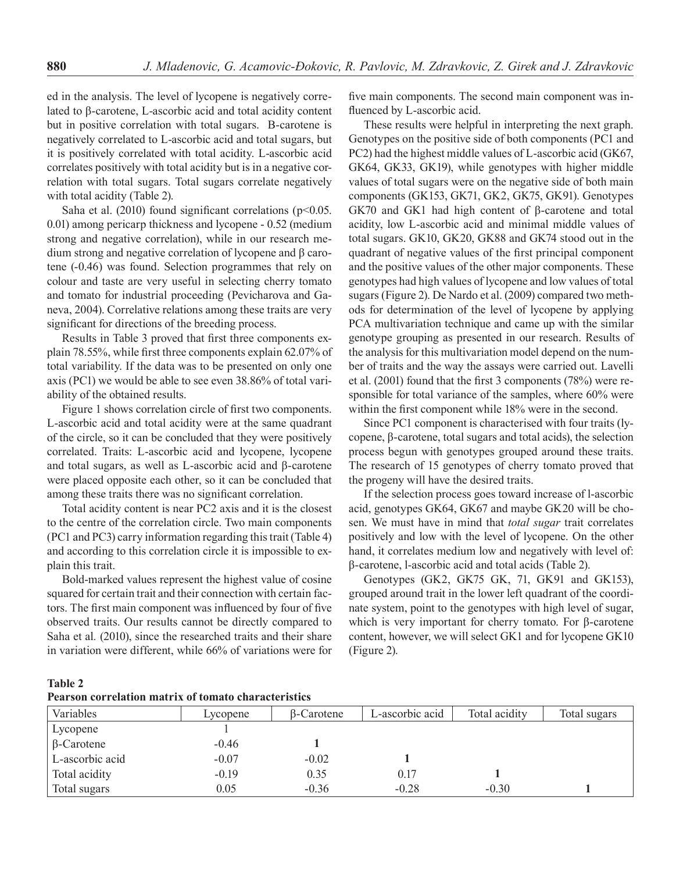ed in the analysis. The level of lycopene is negatively correlated to β-carotene, L-ascorbic acid and total acidity content but in positive correlation with total sugars. Β-carotene is negatively correlated to L-ascorbic acid and total sugars, but it is positively correlated with total acidity. L-ascorbic acid correlates positively with total acidity but is in a negative correlation with total sugars. Total sugars correlate negatively with total acidity (Table 2).

Saha et al. (2010) found significant correlations ( $p$ <0.05. 0.01) among pericarp thickness and lycopene - 0.52 (medium strong and negative correlation), while in our research medium strong and negative correlation of lycopene and β carotene (-0.46) was found. Selection programmes that rely on colour and taste are very useful in selecting cherry tomato and tomato for industrial proceeding (Pevicharova and Ganeva, 2004). Correlative relations among these traits are very significant for directions of the breeding process.

Results in Table 3 proved that first three components explain 78.55%, while first three components explain 62.07% of total variability. If the data was to be presented on only one axis (PC1) we would be able to see even 38.86% of total variability of the obtained results.

Figure 1 shows correlation circle of first two components. L-ascorbic acid and total acidity were at the same quadrant of the circle, so it can be concluded that they were positively correlated. Traits: L-ascorbic acid and lycopene, lycopene and total sugars, as well as L-ascorbic acid and β-carotene were placed opposite each other, so it can be concluded that among these traits there was no significant correlation.

Total acidity content is near PC2 axis and it is the closest to the centre of the correlation circle. Two main components (PC1 and PC3) carry information regarding this trait (Table 4) and according to this correlation circle it is impossible to explain this trait.

Bold-marked values represent the highest value of cosine squared for certain trait and their connection with certain factors. The first main component was influenced by four of five observed traits. Our results cannot be directly compared to Saha et al*.* (2010), since the researched traits and their share in variation were different, while 66% of variations were for five main components. The second main component was influenced by L-ascorbic acid.

These results were helpful in interpreting the next graph. Genotypes on the positive side of both components (PC1 and PC2) had the highest middle values of L-ascorbic acid (GK67, GK64, GK33, GK19), while genotypes with higher middle values of total sugars were on the negative side of both main components (GK153, GK71, GK2, GK75, GK91). Genotypes GK70 and GK1 had high content of β-carotene and total acidity, low L-ascorbic acid and minimal middle values of total sugars. GK10, GK20, GK88 and GK74 stood out in the quadrant of negative values of the first principal component and the positive values of the other major components. These genotypes had high values of lycopene and low values of total sugars (Figure 2). De Nardo et al. (2009) compared two methods for determination of the level of lycopene by applying PCA multivariation technique and came up with the similar genotype grouping as presented in our research. Results of the analysis for this multivariation model depend on the number of traits and the way the assays were carried out. Lavelli et al. (2001) found that the first 3 components (78%) were responsible for total variance of the samples, where 60% were within the first component while 18% were in the second.

Since PC1 component is characterised with four traits (lycopene, β-carotene, total sugars and total acids), the selection process begun with genotypes grouped around these traits. The research of 15 genotypes of cherry tomato proved that the progeny will have the desired traits.

If the selection process goes toward increase of l-ascorbic acid, genotypes GK64, GK67 and maybe GK20 will be chosen. We must have in mind that *total sugar* trait correlates positively and low with the level of lycopene. On the other hand, it correlates medium low and negatively with level of: β-carotene, l-ascorbic acid and total acids (Table 2).

Genotypes (GK2, GK75 GK, 71, GK91 and GK153), grouped around trait in the lower left quadrant of the coordinate system, point to the genotypes with high level of sugar, which is very important for cherry tomato. For β-carotene content, however, we will select GK1 and for lycopene GK10 (Figure 2).

**Table 2**

| <b>Pearson correlation matrix of tomato characteristics</b> |  |
|-------------------------------------------------------------|--|
|-------------------------------------------------------------|--|

| 1 vai 9011 volti viavioli maavi 12 ol tomiato viiti avtvi 19tro |          |            |                 |               |              |  |
|-----------------------------------------------------------------|----------|------------|-----------------|---------------|--------------|--|
| Variables                                                       | Lycopene | β-Carotene | L-ascorbic acid | Total acidity | Total sugars |  |
| Lycopene                                                        |          |            |                 |               |              |  |
| $\beta$ -Carotene                                               | $-0.46$  |            |                 |               |              |  |
| L-ascorbic acid                                                 | $-0.07$  | $-0.02$    |                 |               |              |  |
| Total acidity                                                   | $-0.19$  | 0.35       | 0.17            |               |              |  |
| Total sugars                                                    | 0.05     | $-0.36$    | $-0.28$         | $-0.30$       |              |  |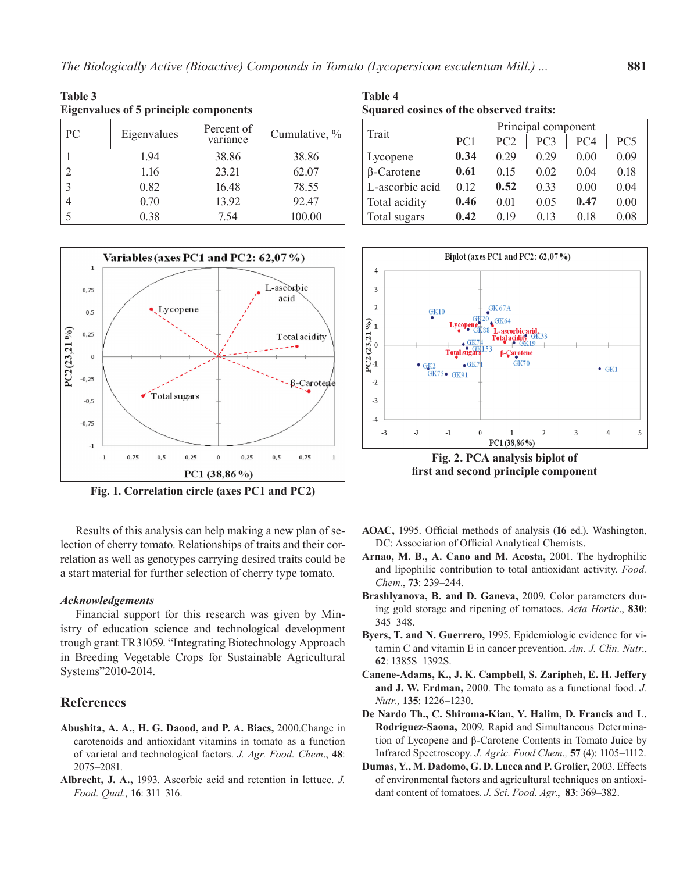| Table 3<br><b>Eigenvalues of 5 principle components</b> |             |                        |               |  |  |
|---------------------------------------------------------|-------------|------------------------|---------------|--|--|
| PC                                                      | Eigenvalues | Percent of<br>variance | Cumulative, % |  |  |
|                                                         | 1.94        | 38.86                  | 38.86         |  |  |
| $\overline{c}$                                          | 1.16        | 23.21                  | 62.07         |  |  |
| 3                                                       | 0.82        | 16.48                  | 78.55         |  |  |
| 4                                                       | 0.70        | 13.92                  | 92.47         |  |  |
| 5                                                       | 0.38        | 7.54                   | 100.00        |  |  |



**Fig. 1. Correlation circle (axes PC1 and PC2)**

Results of this analysis can help making a new plan of selection of cherry tomato. Relationships of traits and their correlation as well as genotypes carrying desired traits could be a start material for further selection of cherry type tomato.

#### *Acknowledgements*

Financial support for this research was given by Ministry of education science and technological development trough grant TR31059. "Integrating Biotechnology Approach in Breeding Vegetable Crops for Sustainable Agricultural Systems"2010-2014.

# **References**

- **Abushita, A. A., H. G. Daood, and P. A. Biacs,** 2000.Change in carotenoids and antioxidant vitamins in tomato as a function of varietal and technological factors. *J. Agr. Food. Chem*., **48**: 2075–2081.
- **Albrecht, J. A.,** 1993. Ascorbic acid and retention in lettuce. *J. Food. Qual.,* **16**: 311–316.

**Table 4 Squared cosines of the observed traits:**

| Trait             | Principal component |      |                 |                 |                 |  |
|-------------------|---------------------|------|-----------------|-----------------|-----------------|--|
|                   | PC <sub>1</sub>     | PC2  | PC <sub>3</sub> | PC <sub>4</sub> | PC <sub>5</sub> |  |
| Lycopene          | 0.34                | 0.29 | 0.29            | 0.00            | 0.09            |  |
| $\beta$ -Carotene | 0.61                | 0.15 | 0.02            | 0.04            | 0.18            |  |
| L-ascorbic acid   | 0.12                | 0.52 | 0.33            | 0.00            | 0.04            |  |
| Total acidity     | 0.46                | 0.01 | 0.05            | 0.47            | 0.00            |  |
| Total sugars      | 0.42                | 0.19 | 0.13            | 0.18            | 0.08            |  |



**first and second principle component**

- **AOAC,** 1995. Official methods of analysis (**16** ed.). Washington, DC: Association of Official Analytical Chemists.
- **Arnao, M. B., A. Cano and M. Acosta,** 2001. The hydrophilic and lipophilic contribution to total antioxidant activity. *Food. Chem*., **73**: 239–244.
- **Brashlyanova, B. and D. Ganeva,** 2009. Color parameters during gold storage and ripening of tomatoes. *Acta Hortic*., **830**: 345–348.
- **Byers, T. and N. Guerrero,** 1995. Epidemiologic evidence for vitamin C and vitamin E in cancer prevention. *Am. J. Clin. Nutr*., **62**: 1385S–1392S.
- **Canene-Adams, K., J. K. Campbell, S. Zaripheh, E. H. Jeffery and J. W. Erdman,** 2000. The tomato as a functional food. *J. Nutr.,* **135**: 1226–1230.
- **De Nardo Th., C. Shiroma-Kian, Y. Halim, D. Francis and L. Rodriguez-Saona,** 2009. Rapid and Simultaneous Determination of Lycopene and β-Carotene Contents in Tomato Juice by Infrared Spectroscopy. *J. Agric. Food Chem.,* **57** (4): 1105–1112.
- **Dumas, Y., M. Dadomo, G. D. Lucca and P. Grolier,** 2003. Effects of environmental factors and agricultural techniques on antioxidant content of tomatoes. *J. Sci. Food. Agr*., **83**: 369–382.